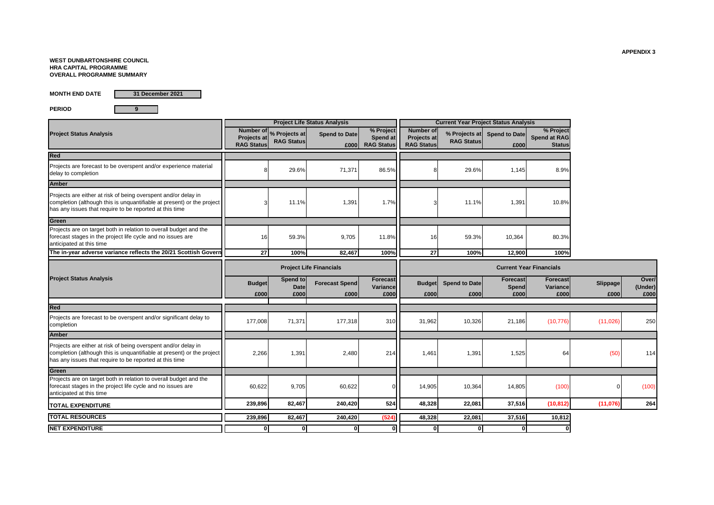#### **WEST DUNBARTONSHIRE COUNCIL HRA CAPITAL PROGRAMME OVERALL PROGRAMME SUMMARY**

**MONTH END DATE**

**31 December 2021**

**PERIOD 9**

Spend to Date **Superfold Spend to Date** Spend to Date **Spend to Date £000 £000 RAG Status** Red 8 29.6% 71,371 86.5% 8 29.6% 1,145 8.9% Amber 3| 11.1%| 1,391| 1.7%|| 3| 11.1%| 1,391| 10.8% The in-year adverse variance reflects the 20/21 Scottish Govern 16 59.3% 9,705 11.8% 16 59.3% 10,364 80.3% **27 100% 82,467 100% 27 100% 12,900 100% Budget Spend to Particular Forecast Spend**<br> **Forecast Spend**<br> **Forecast Spend**<br> **Forecast Spend**<br> **Forecast Spend**<br> **Forecast Spend**<br> **E000 Forecast**<br> **EXECUTE: EDDDENTIFY**<br> **EDDDENTIFY**<br> **EDDDENTIFY**<br> **EDDDENTIFY**<br> **EDDDENTIFY Spend Forecast Propose Slippage** Over/<br> **EXECUTE:**<br> **Propose COOO**<br> **Propose COOO**<br> **Propose COOO (Under) £000 £000 £000 £000 £000 £000 £000 £000 £000 £000** 177,008| 71,371| 177,318| 310|| 31,962| 10,326| 21,186| (10,776)| (11,026)| 250 2,266| 1,391| 2,480| 214|| 1,461| 1,391| 1,525| 64| (50)| 114 60,622 9,705 60,622 0 14,905 10,364 14,805 (100) 0 (100) **239,896 82,467 240,420 524 48,328 22,081 37,516 (10,812) (11,076) 264 239,896 82,467 240,420 (524) 48,328 22,081 37,516 10,812 0 0 0 0 0 0 0 0** Projects are on target both in relation to overall budget and the forecast stages in the project life cycle and no issues are anticipated at this time **Project Status Analysis Project Life Status Analysis Current Year Project Status Analysis Number of Projects at RAG Status % Projects at RAG Status % Project Spend at Number of Projects at RAG Status % Projects at RAG Status % Project Spend at RAG Status Red**  Projects are forecast to be overspent and/or experience material delay to completion **Amber** Projects are either at risk of being overspent and/or delay in completion (although this is unquantifiable at present) or the project has any issues that require to be reported at this time **Green The in-year adverse variance reflects the 20/21 Scottish Government grant in relation to future developments which cannot be drawndown prior to spend (£0.850m). This is offset by £0.511m additional Scottish Government Grant income which is generated off of the Buy Back Scheme and can be used to support the Affordable Housing Supply Programme. Overall, there is a favourable project life variance of £0.702m which relates to an additional £1.308m grant income as successfully negotiated by Officers in relation to the increased grant per unit at Aitkenbar and Haldane and the additional grant generated from the buyback scheme within the current year and previous financial years. However, this is offset by an under recovery in grant of £0.606m which reflects changes to the actual number of units compared to budget at individual sites and the change in funding composition at St Andrews whereby the grant was originally budgeted higher based on a partnership with another registered social landlord. However, disc Project Status Analysis Project Life Financials Current Year Financials Red TOTAL RESOURCES NET EXPENDITURE** Projects are forecast to be overspent and/or significant delay to completion **Amber** Projects are either at risk of being overspent and/or delay in completion (although this is unquantifiable at present) or the project has any issues that require to be reported at this time **Green** Projects are on target both in relation to overall budget and the forecast stages in the project life cycle and no issues are anticipated at this time **TOTAL EXPENDITURE**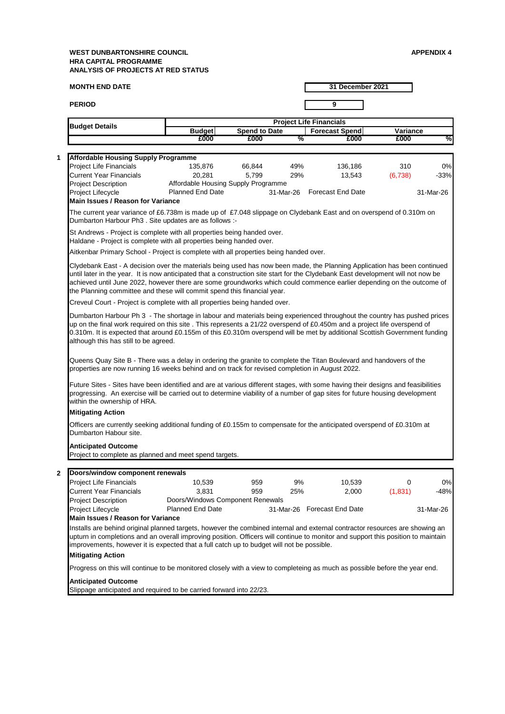| <b>MONTH END DATE</b>                                                                                                                                                                                                                                                                                                                                                                                                                                                                                                                              |                                     |                                                                | 31 December 2021               |                             |         |           |  |  |
|----------------------------------------------------------------------------------------------------------------------------------------------------------------------------------------------------------------------------------------------------------------------------------------------------------------------------------------------------------------------------------------------------------------------------------------------------------------------------------------------------------------------------------------------------|-------------------------------------|----------------------------------------------------------------|--------------------------------|-----------------------------|---------|-----------|--|--|
| <b>PERIOD</b>                                                                                                                                                                                                                                                                                                                                                                                                                                                                                                                                      |                                     |                                                                |                                | 9                           |         |           |  |  |
|                                                                                                                                                                                                                                                                                                                                                                                                                                                                                                                                                    |                                     |                                                                | <b>Project Life Financials</b> |                             |         |           |  |  |
| <b>Budget Details</b>                                                                                                                                                                                                                                                                                                                                                                                                                                                                                                                              |                                     | <b>Spend to Date</b><br><b>Budget</b><br><b>Forecast Spend</b> |                                |                             |         | Variance  |  |  |
|                                                                                                                                                                                                                                                                                                                                                                                                                                                                                                                                                    | £000                                | £000                                                           | %                              | £000                        | £000    | %         |  |  |
|                                                                                                                                                                                                                                                                                                                                                                                                                                                                                                                                                    |                                     |                                                                |                                |                             |         |           |  |  |
| <b>Affordable Housing Supply Programme</b>                                                                                                                                                                                                                                                                                                                                                                                                                                                                                                         |                                     |                                                                |                                |                             |         |           |  |  |
| Project Life Financials                                                                                                                                                                                                                                                                                                                                                                                                                                                                                                                            | 135,876                             | 66,844                                                         | 49%                            | 136,186                     | 310     | 0%        |  |  |
| Current Year Financials                                                                                                                                                                                                                                                                                                                                                                                                                                                                                                                            | 20,281                              | 5,799                                                          | 29%                            | 13,543                      | (6,738) | $-33%$    |  |  |
| <b>Project Description</b>                                                                                                                                                                                                                                                                                                                                                                                                                                                                                                                         | Affordable Housing Supply Programme |                                                                |                                |                             |         |           |  |  |
| Project Lifecycle<br><b>Main Issues / Reason for Variance</b>                                                                                                                                                                                                                                                                                                                                                                                                                                                                                      | <b>Planned End Date</b>             |                                                                | 31-Mar-26                      | <b>Forecast End Date</b>    |         | 31-Mar-26 |  |  |
|                                                                                                                                                                                                                                                                                                                                                                                                                                                                                                                                                    |                                     |                                                                |                                |                             |         |           |  |  |
| The current year variance of £6.738m is made up of £7.048 slippage on Clydebank East and on overspend of 0.310m on<br>Dumbarton Harbour Ph3. Site updates are as follows :-                                                                                                                                                                                                                                                                                                                                                                        |                                     |                                                                |                                |                             |         |           |  |  |
| St Andrews - Project is complete with all properties being handed over.                                                                                                                                                                                                                                                                                                                                                                                                                                                                            |                                     |                                                                |                                |                             |         |           |  |  |
| Haldane - Project is complete with all properties being handed over.                                                                                                                                                                                                                                                                                                                                                                                                                                                                               |                                     |                                                                |                                |                             |         |           |  |  |
| Aitkenbar Primary School - Project is complete with all properties being handed over.                                                                                                                                                                                                                                                                                                                                                                                                                                                              |                                     |                                                                |                                |                             |         |           |  |  |
|                                                                                                                                                                                                                                                                                                                                                                                                                                                                                                                                                    |                                     |                                                                |                                |                             |         |           |  |  |
| Clydebank East - A decision over the materials being used has now been made, the Planning Application has been continued<br>until later in the year. It is now anticipated that a construction site start for the Clydebank East development will not now be<br>achieved until June 2022, however there are some groundworks which could commence earlier depending on the outcome of<br>the Planning committee and these will commit spend this financial year.                                                                                   |                                     |                                                                |                                |                             |         |           |  |  |
| Creveul Court - Project is complete with all properties being handed over.                                                                                                                                                                                                                                                                                                                                                                                                                                                                         |                                     |                                                                |                                |                             |         |           |  |  |
| Dumbarton Harbour Ph 3 - The shortage in labour and materials being experienced throughout the country has pushed prices<br>up on the final work required on this site. This represents a 21/22 overspend of £0.450m and a project life overspend of<br>0.310m. It is expected that around £0.155m of this £0.310m overspend will be met by additional Scottish Government funding<br>although this has still to be agreed.<br>Queens Quay Site B - There was a delay in ordering the granite to complete the Titan Boulevard and handovers of the |                                     |                                                                |                                |                             |         |           |  |  |
| properties are now running 16 weeks behind and on track for revised completion in August 2022.<br>Future Sites - Sites have been identified and are at various different stages, with some having their designs and feasibilities<br>progressing. An exercise will be carried out to determine viability of a number of gap sites for future housing development                                                                                                                                                                                   |                                     |                                                                |                                |                             |         |           |  |  |
| within the ownership of HRA.                                                                                                                                                                                                                                                                                                                                                                                                                                                                                                                       |                                     |                                                                |                                |                             |         |           |  |  |
| <b>Mitigating Action</b>                                                                                                                                                                                                                                                                                                                                                                                                                                                                                                                           |                                     |                                                                |                                |                             |         |           |  |  |
| Officers are currently seeking additional funding of £0.155m to compensate for the anticipated overspend of £0.310m at<br>Dumbarton Habour site.                                                                                                                                                                                                                                                                                                                                                                                                   |                                     |                                                                |                                |                             |         |           |  |  |
| <b>Anticipated Outcome</b>                                                                                                                                                                                                                                                                                                                                                                                                                                                                                                                         |                                     |                                                                |                                |                             |         |           |  |  |
| Project to complete as planned and meet spend targets.                                                                                                                                                                                                                                                                                                                                                                                                                                                                                             |                                     |                                                                |                                |                             |         |           |  |  |
|                                                                                                                                                                                                                                                                                                                                                                                                                                                                                                                                                    |                                     |                                                                |                                |                             |         |           |  |  |
| Doors/window component renewals                                                                                                                                                                                                                                                                                                                                                                                                                                                                                                                    |                                     |                                                                |                                |                             |         |           |  |  |
| <b>Project Life Financials</b>                                                                                                                                                                                                                                                                                                                                                                                                                                                                                                                     | 10,539                              | 959                                                            | 9%                             | 10,539                      | 0       | 0%        |  |  |
| <b>Current Year Financials</b>                                                                                                                                                                                                                                                                                                                                                                                                                                                                                                                     | 3,831                               | 959                                                            | 25%                            | 2,000                       | (1,831) | $-48%$    |  |  |
| <b>Project Description</b>                                                                                                                                                                                                                                                                                                                                                                                                                                                                                                                         | Doors/Windows Component Renewals    |                                                                |                                |                             |         |           |  |  |
| Project Lifecycle                                                                                                                                                                                                                                                                                                                                                                                                                                                                                                                                  | <b>Planned End Date</b>             |                                                                |                                | 31-Mar-26 Forecast End Date |         | 31-Mar-26 |  |  |
| Main Issues / Reason for Variance                                                                                                                                                                                                                                                                                                                                                                                                                                                                                                                  |                                     |                                                                |                                |                             |         |           |  |  |
| Installs are behind original planned targets, however the combined internal and external contractor resources are showing an<br>upturn in completions and an overall improving position. Officers will continue to monitor and support this position to maintain<br>improvements, however it is expected that a full catch up to budget will not be possible.                                                                                                                                                                                      |                                     |                                                                |                                |                             |         |           |  |  |
| <b>Mitigating Action</b>                                                                                                                                                                                                                                                                                                                                                                                                                                                                                                                           |                                     |                                                                |                                |                             |         |           |  |  |
| Progress on this will continue to be monitored closely with a view to completeing as much as possible before the year end.                                                                                                                                                                                                                                                                                                                                                                                                                         |                                     |                                                                |                                |                             |         |           |  |  |
| <b>Anticipated Outcome</b><br>Slippage anticipated and required to be carried forward into 22/23.                                                                                                                                                                                                                                                                                                                                                                                                                                                  |                                     |                                                                |                                |                             |         |           |  |  |

Slippage anticipated and required to be carried forward into 22/23.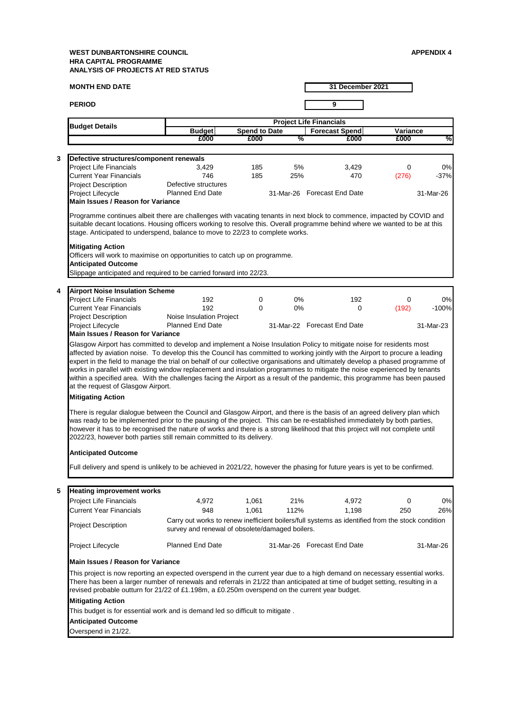|   | <b>MONTH END DATE</b>                                                                                                                                                                                                                                                                                                                                                                                                                                                         |                                                                                                  |                      | 31 December 2021 |                                |          |           |  |
|---|-------------------------------------------------------------------------------------------------------------------------------------------------------------------------------------------------------------------------------------------------------------------------------------------------------------------------------------------------------------------------------------------------------------------------------------------------------------------------------|--------------------------------------------------------------------------------------------------|----------------------|------------------|--------------------------------|----------|-----------|--|
|   | <b>PERIOD</b>                                                                                                                                                                                                                                                                                                                                                                                                                                                                 |                                                                                                  |                      |                  | 9                              |          |           |  |
|   |                                                                                                                                                                                                                                                                                                                                                                                                                                                                               |                                                                                                  |                      |                  | <b>Project Life Financials</b> |          |           |  |
|   | <b>Budget Details</b>                                                                                                                                                                                                                                                                                                                                                                                                                                                         | <b>Budget</b>                                                                                    | <b>Spend to Date</b> |                  | <b>Forecast Spend</b>          | Variance |           |  |
|   |                                                                                                                                                                                                                                                                                                                                                                                                                                                                               | £000                                                                                             | £000                 | %                | £000                           | £000     | %         |  |
|   |                                                                                                                                                                                                                                                                                                                                                                                                                                                                               |                                                                                                  |                      |                  |                                |          |           |  |
| 3 | Defective structures/component renewals                                                                                                                                                                                                                                                                                                                                                                                                                                       |                                                                                                  |                      |                  |                                |          |           |  |
|   | Project Life Financials                                                                                                                                                                                                                                                                                                                                                                                                                                                       | 3,429                                                                                            | 185                  | 5%               | 3,429                          | 0        | 0%        |  |
|   | <b>Current Year Financials</b>                                                                                                                                                                                                                                                                                                                                                                                                                                                | 746                                                                                              | 185                  | 25%              | 470                            | (276)    | $-37%$    |  |
|   | Project Description                                                                                                                                                                                                                                                                                                                                                                                                                                                           | Defective structures                                                                             |                      |                  |                                |          |           |  |
|   | Project Lifecycle                                                                                                                                                                                                                                                                                                                                                                                                                                                             | <b>Planned End Date</b>                                                                          |                      |                  | 31-Mar-26 Forecast End Date    |          | 31-Mar-26 |  |
|   | <b>Main Issues / Reason for Variance</b>                                                                                                                                                                                                                                                                                                                                                                                                                                      |                                                                                                  |                      |                  |                                |          |           |  |
|   | Programme continues albeit there are challenges with vacating tenants in next block to commence, impacted by COVID and<br>suitable decant locations. Housing officers working to resolve this. Overall programme behind where we wanted to be at this<br>stage. Anticipated to underspend, balance to move to 22/23 to complete works.<br><b>Mitigating Action</b><br>Officers will work to maximise on opportunities to catch up on programme.<br><b>Anticipated Outcome</b> |                                                                                                  |                      |                  |                                |          |           |  |
|   | Slippage anticipated and required to be carried forward into 22/23.                                                                                                                                                                                                                                                                                                                                                                                                           |                                                                                                  |                      |                  |                                |          |           |  |
|   |                                                                                                                                                                                                                                                                                                                                                                                                                                                                               |                                                                                                  |                      |                  |                                |          |           |  |
| 4 | <b>Airport Noise Insulation Scheme</b>                                                                                                                                                                                                                                                                                                                                                                                                                                        |                                                                                                  |                      |                  |                                |          |           |  |
|   | <b>Project Life Financials</b>                                                                                                                                                                                                                                                                                                                                                                                                                                                | 192                                                                                              | 0                    | $0\%$            | 192                            | 0        | 0%        |  |
|   | <b>Current Year Financials</b>                                                                                                                                                                                                                                                                                                                                                                                                                                                | 192                                                                                              | 0                    | $0\%$            | 0                              | (192)    | $-100%$   |  |
|   | <b>Project Description</b>                                                                                                                                                                                                                                                                                                                                                                                                                                                    | Noise Insulation Project                                                                         |                      |                  |                                |          |           |  |
|   | Project Lifecycle                                                                                                                                                                                                                                                                                                                                                                                                                                                             | <b>Planned End Date</b>                                                                          |                      |                  | 31-Mar-22 Forecast End Date    |          | 31-Mar-23 |  |
|   | <b>Main Issues / Reason for Variance</b><br>Glasgow Airport has committed to develop and implement a Noise Insulation Policy to mitigate noise for residents most                                                                                                                                                                                                                                                                                                             |                                                                                                  |                      |                  |                                |          |           |  |
|   | expert in the field to manage the trial on behalf of our collective organisations and ultimately develop a phased programme of<br>works in parallel with existing window replacement and insulation programmes to mitigate the noise experienced by tenants<br>within a specified area. With the challenges facing the Airport as a result of the pandemic, this programme has been paused<br>at the request of Glasgow Airport.<br><b>Mitigating Action</b>                  |                                                                                                  |                      |                  |                                |          |           |  |
|   | There is regular dialogue between the Council and Glasgow Airport, and there is the basis of an agreed delivery plan which<br>was ready to be implemented prior to the pausing of the project. This can be re-established immediately by both parties,<br>however it has to be recognised the nature of works and there is a strong likelihood that this project will not complete until<br>2022/23, however both parties still remain committed to its delivery.             |                                                                                                  |                      |                  |                                |          |           |  |
|   | <b>Anticipated Outcome</b>                                                                                                                                                                                                                                                                                                                                                                                                                                                    |                                                                                                  |                      |                  |                                |          |           |  |
|   |                                                                                                                                                                                                                                                                                                                                                                                                                                                                               |                                                                                                  |                      |                  |                                |          |           |  |
|   | Full delivery and spend is unlikely to be achieved in 2021/22, however the phasing for future years is yet to be confirmed.                                                                                                                                                                                                                                                                                                                                                   |                                                                                                  |                      |                  |                                |          |           |  |
|   |                                                                                                                                                                                                                                                                                                                                                                                                                                                                               |                                                                                                  |                      |                  |                                |          |           |  |
| 5 | <b>Heating improvement works</b>                                                                                                                                                                                                                                                                                                                                                                                                                                              |                                                                                                  |                      |                  |                                |          |           |  |
|   | <b>Project Life Financials</b>                                                                                                                                                                                                                                                                                                                                                                                                                                                | 4,972                                                                                            | 1,061                | 21%              | 4,972                          | 0        | 0%        |  |
|   | <b>Current Year Financials</b>                                                                                                                                                                                                                                                                                                                                                                                                                                                | 948                                                                                              | 1,061                | 112%             | 1,198                          | 250      | 26%       |  |
|   |                                                                                                                                                                                                                                                                                                                                                                                                                                                                               | Carry out works to renew inefficient boilers/full systems as identified from the stock condition |                      |                  |                                |          |           |  |
|   | <b>Project Description</b>                                                                                                                                                                                                                                                                                                                                                                                                                                                    | survey and renewal of obsolete/damaged boilers.                                                  |                      |                  |                                |          |           |  |
|   | <b>Project Lifecycle</b>                                                                                                                                                                                                                                                                                                                                                                                                                                                      | <b>Planned End Date</b>                                                                          |                      |                  | 31-Mar-26 Forecast End Date    |          | 31-Mar-26 |  |
|   | Main Issues / Reason for Variance                                                                                                                                                                                                                                                                                                                                                                                                                                             |                                                                                                  |                      |                  |                                |          |           |  |
|   | This project is now reporting an expected overspend in the current year due to a high demand on necessary essential works.<br>There has been a larger number of renewals and referrals in 21/22 than anticipated at time of budget setting, resulting in a<br>revised probable outturn for 21/22 of £1.198m, a £0.250m overspend on the current year budget.                                                                                                                  |                                                                                                  |                      |                  |                                |          |           |  |
|   | <b>Mitigating Action</b><br>This budget is for essential work and is demand led so difficult to mitigate.                                                                                                                                                                                                                                                                                                                                                                     |                                                                                                  |                      |                  |                                |          |           |  |
|   | <b>Anticipated Outcome</b>                                                                                                                                                                                                                                                                                                                                                                                                                                                    |                                                                                                  |                      |                  |                                |          |           |  |
|   | Overspend in 21/22.                                                                                                                                                                                                                                                                                                                                                                                                                                                           |                                                                                                  |                      |                  |                                |          |           |  |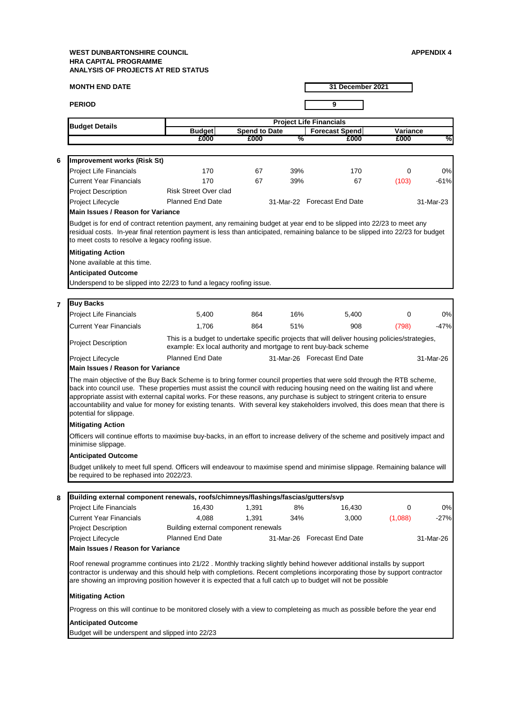| <b>MONTH END DATE</b><br>31 December 2021 |                                                                                                                                                                                                                                                                                                                                                                                                                                                                                                                                              |                                      |                      |     |                                                                                                                                                                    |          |           |  |  |
|-------------------------------------------|----------------------------------------------------------------------------------------------------------------------------------------------------------------------------------------------------------------------------------------------------------------------------------------------------------------------------------------------------------------------------------------------------------------------------------------------------------------------------------------------------------------------------------------------|--------------------------------------|----------------------|-----|--------------------------------------------------------------------------------------------------------------------------------------------------------------------|----------|-----------|--|--|
|                                           | <b>PERIOD</b>                                                                                                                                                                                                                                                                                                                                                                                                                                                                                                                                |                                      |                      |     | 9                                                                                                                                                                  |          |           |  |  |
|                                           | <b>Budget Details</b>                                                                                                                                                                                                                                                                                                                                                                                                                                                                                                                        |                                      |                      |     | <b>Project Life Financials</b>                                                                                                                                     |          |           |  |  |
|                                           |                                                                                                                                                                                                                                                                                                                                                                                                                                                                                                                                              | <b>Budget</b><br>£000                | <b>Spend to Date</b> | %   | <b>Forecast Spend</b>                                                                                                                                              | Variance | %         |  |  |
|                                           |                                                                                                                                                                                                                                                                                                                                                                                                                                                                                                                                              |                                      | £000                 |     | £000                                                                                                                                                               | £000     |           |  |  |
| 6                                         | Improvement works (Risk St)                                                                                                                                                                                                                                                                                                                                                                                                                                                                                                                  |                                      |                      |     |                                                                                                                                                                    |          |           |  |  |
|                                           | Project Life Financials                                                                                                                                                                                                                                                                                                                                                                                                                                                                                                                      | 170                                  | 67                   | 39% | 170                                                                                                                                                                | 0        | 0%        |  |  |
|                                           | <b>Current Year Financials</b>                                                                                                                                                                                                                                                                                                                                                                                                                                                                                                               | 170                                  | 67                   | 39% | 67                                                                                                                                                                 | (103)    | $-61%$    |  |  |
|                                           | <b>Project Description</b>                                                                                                                                                                                                                                                                                                                                                                                                                                                                                                                   | <b>Risk Street Over clad</b>         |                      |     |                                                                                                                                                                    |          |           |  |  |
|                                           | Project Lifecycle                                                                                                                                                                                                                                                                                                                                                                                                                                                                                                                            | Planned End Date                     |                      |     | 31-Mar-22 Forecast End Date                                                                                                                                        |          | 31-Mar-23 |  |  |
|                                           | <b>Main Issues / Reason for Variance</b>                                                                                                                                                                                                                                                                                                                                                                                                                                                                                                     |                                      |                      |     |                                                                                                                                                                    |          |           |  |  |
|                                           | Budget is for end of contract retention payment, any remaining budget at year end to be slipped into 22/23 to meet any<br>residual costs. In-year final retention payment is less than anticipated, remaining balance to be slipped into 22/23 for budget<br>to meet costs to resolve a legacy roofing issue.<br><b>Mitigating Action</b>                                                                                                                                                                                                    |                                      |                      |     |                                                                                                                                                                    |          |           |  |  |
|                                           | None available at this time.                                                                                                                                                                                                                                                                                                                                                                                                                                                                                                                 |                                      |                      |     |                                                                                                                                                                    |          |           |  |  |
|                                           | <b>Anticipated Outcome</b>                                                                                                                                                                                                                                                                                                                                                                                                                                                                                                                   |                                      |                      |     |                                                                                                                                                                    |          |           |  |  |
|                                           | Underspend to be slipped into 22/23 to fund a legacy roofing issue.                                                                                                                                                                                                                                                                                                                                                                                                                                                                          |                                      |                      |     |                                                                                                                                                                    |          |           |  |  |
| $\overline{7}$                            | <b>Buy Backs</b>                                                                                                                                                                                                                                                                                                                                                                                                                                                                                                                             |                                      |                      |     |                                                                                                                                                                    |          |           |  |  |
|                                           | <b>Project Life Financials</b>                                                                                                                                                                                                                                                                                                                                                                                                                                                                                                               | 5,400                                | 864                  | 16% | 5,400                                                                                                                                                              | 0        | 0%        |  |  |
|                                           | <b>Current Year Financials</b>                                                                                                                                                                                                                                                                                                                                                                                                                                                                                                               | 1,706                                | 864                  | 51% | 908                                                                                                                                                                | (798)    | $-47%$    |  |  |
|                                           | <b>Project Description</b>                                                                                                                                                                                                                                                                                                                                                                                                                                                                                                                   |                                      |                      |     | This is a budget to undertake specific projects that will deliver housing policies/strategies,<br>example: Ex local authority and mortgage to rent buy-back scheme |          |           |  |  |
|                                           | Project Lifecycle                                                                                                                                                                                                                                                                                                                                                                                                                                                                                                                            | <b>Planned End Date</b>              |                      |     | 31-Mar-26 Forecast End Date                                                                                                                                        |          | 31-Mar-26 |  |  |
|                                           | <b>Main Issues / Reason for Variance</b>                                                                                                                                                                                                                                                                                                                                                                                                                                                                                                     |                                      |                      |     |                                                                                                                                                                    |          |           |  |  |
|                                           | The main objective of the Buy Back Scheme is to bring former council properties that were sold through the RTB scheme,<br>back into council use. These properties must assist the council with reducing housing need on the waiting list and where<br>appropriate assist with external capital works. For these reasons, any purchase is subject to stringent criteria to ensure<br>accountability and value for money for existing tenants. With several key stakeholders involved, this does mean that there is<br>potential for slippage. |                                      |                      |     |                                                                                                                                                                    |          |           |  |  |
|                                           | <b>Mitigating Action</b>                                                                                                                                                                                                                                                                                                                                                                                                                                                                                                                     |                                      |                      |     |                                                                                                                                                                    |          |           |  |  |
|                                           | Officers will continue efforts to maximise buy-backs, in an effort to increase delivery of the scheme and positively impact and<br>minimise slippage.                                                                                                                                                                                                                                                                                                                                                                                        |                                      |                      |     |                                                                                                                                                                    |          |           |  |  |
|                                           | <b>Anticipated Outcome</b>                                                                                                                                                                                                                                                                                                                                                                                                                                                                                                                   |                                      |                      |     |                                                                                                                                                                    |          |           |  |  |
|                                           | Budget unlikely to meet full spend. Officers will endeavour to maximise spend and minimise slippage. Remaining balance will<br>be required to be rephased into 2022/23.                                                                                                                                                                                                                                                                                                                                                                      |                                      |                      |     |                                                                                                                                                                    |          |           |  |  |
| 8                                         | Building external component renewals, roofs/chimneys/flashings/fascias/gutters/svp                                                                                                                                                                                                                                                                                                                                                                                                                                                           |                                      |                      |     |                                                                                                                                                                    |          |           |  |  |
|                                           | <b>Project Life Financials</b>                                                                                                                                                                                                                                                                                                                                                                                                                                                                                                               | 16,430                               | 1,391                | 8%  | 16,430                                                                                                                                                             | 0        | 0%        |  |  |
|                                           | <b>Current Year Financials</b>                                                                                                                                                                                                                                                                                                                                                                                                                                                                                                               | 4,088                                | 1,391                | 34% | 3,000                                                                                                                                                              | (1,088)  | $-27%$    |  |  |
|                                           | <b>Project Description</b>                                                                                                                                                                                                                                                                                                                                                                                                                                                                                                                   | Building external component renewals |                      |     |                                                                                                                                                                    |          |           |  |  |
|                                           | Project Lifecycle                                                                                                                                                                                                                                                                                                                                                                                                                                                                                                                            | <b>Planned End Date</b>              |                      |     | 31-Mar-26 Forecast End Date                                                                                                                                        |          | 31-Mar-26 |  |  |
|                                           | <b>Main Issues / Reason for Variance</b>                                                                                                                                                                                                                                                                                                                                                                                                                                                                                                     |                                      |                      |     |                                                                                                                                                                    |          |           |  |  |
|                                           | Roof renewal programme continues into 21/22. Monthly tracking slightly behind however additional installs by support<br>contractor is underway and this should help with completions. Recent completions incorporating those by support contractor<br>are showing an improving position however it is expected that a full catch up to budget will not be possible                                                                                                                                                                           |                                      |                      |     |                                                                                                                                                                    |          |           |  |  |
|                                           | <b>Mitigating Action</b>                                                                                                                                                                                                                                                                                                                                                                                                                                                                                                                     |                                      |                      |     |                                                                                                                                                                    |          |           |  |  |
|                                           | Progress on this will continue to be monitored closely with a view to completeing as much as possible before the year end                                                                                                                                                                                                                                                                                                                                                                                                                    |                                      |                      |     |                                                                                                                                                                    |          |           |  |  |
|                                           | <b>Anticipated Outcome</b>                                                                                                                                                                                                                                                                                                                                                                                                                                                                                                                   |                                      |                      |     |                                                                                                                                                                    |          |           |  |  |
|                                           | Budget will be underspent and slipped into 22/23                                                                                                                                                                                                                                                                                                                                                                                                                                                                                             |                                      |                      |     |                                                                                                                                                                    |          |           |  |  |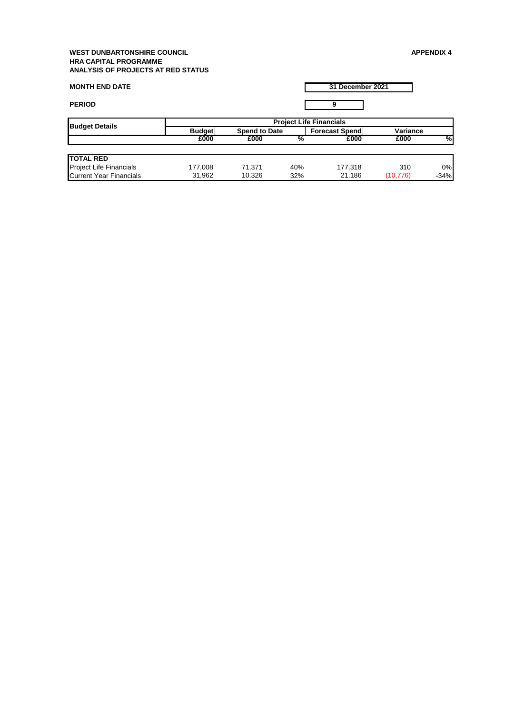| <b>MONTH END DATE</b>          |                                |                      |     | 31 December 2021      |          |        |  |  |
|--------------------------------|--------------------------------|----------------------|-----|-----------------------|----------|--------|--|--|
| <b>PERIOD</b>                  |                                |                      |     | 9                     |          |        |  |  |
|                                | <b>Project Life Financials</b> |                      |     |                       |          |        |  |  |
| <b>Budget Details</b>          | <b>Budget</b>                  | <b>Spend to Date</b> |     | <b>Forecast Spend</b> | Variance |        |  |  |
|                                | £000                           | £000                 | %   | £000                  | £000     | %      |  |  |
| <b>TOTAL RED</b>               |                                |                      |     |                       |          |        |  |  |
| Project Life Financials        | 177,008                        | 71,371               | 40% | 177,318               | 310      | 0%     |  |  |
| <b>Current Year Financials</b> | 31,962                         | 10,326               | 32% | 21,186                | (10,776) | $-34%$ |  |  |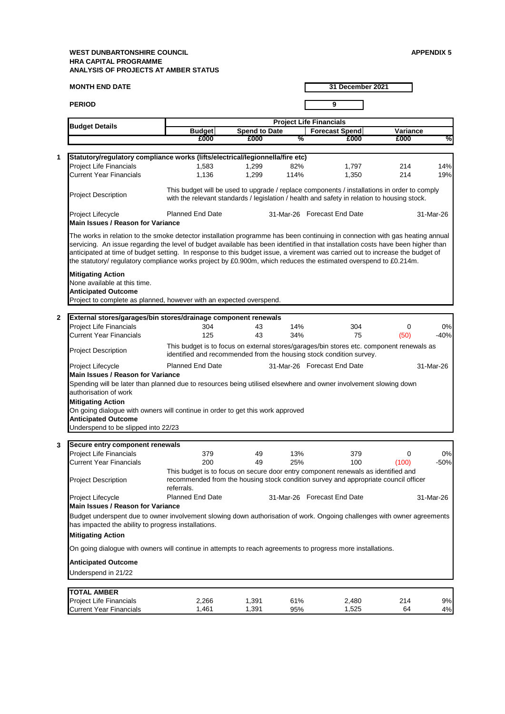**MONTH END DATE PERIOD 9 Budget Forecast Spend Spend to Date Variance £000 £000 % £000 £000 % 1** Project Life Financials 1,583 1,299 82% 1,797 214 14% Current Year Financials 1,136 1,299 114% 1,350 214 19% Project Description Project Lifecycle **11 - Planned End Date 131-Mar-26 Forecast End Date** 31-Mar-26 **2** Project Life Financials **304** 43 14% 304 0 0% Current Year Financials 125 43 34% 75 (50) -40% Project Description Project Lifecycle Planned End Date 31-Mar-26 Forecast End Date 31-Mar-26 **3** Project Life Financials **379** 49 13% 379 0 0% Current Year Financials 200 49 25% 100 (100) -50% Project Description Project Lifecycle **12. In the State 12-Mar-26** 31-Mar-26 Forecast End Date 31-Mar-26 **TOTAL AMBER** Project Life Financials 2,266 1,391 61% 2,480 214 9% Current Year Financials 1,461 1,391 95% 1,525 64 4% Budget underspent due to owner involvement slowing down authorisation of work. Ongoing challenges with owner agreements has impacted the ability to progress installations. **Mitigating Action** On going dialogue with owners will continue in attempts to reach agreements to progress more installations. **Anticipated Outcome** Underspend in 21/22 **Main Issues / Reason for Variance External stores/garages/bin stores/drainage component renewals** This budget is to focus on external stores/garages/bin stores etc. component renewals as identified and recommended from the housing stock condition survey. **Main Issues / Reason for Variance**  Spending will be later than planned due to resources being utilised elsewhere and owner involvement slowing down authorisation of work **Secure entry component renewals** This budget is to focus on secure door entry component renewals as identified and recommended from the housing stock condition survey and appropriate council officer referrals. **Mitigating Action** On going dialogue with owners will continue in order to get this work approved **Anticipated Outcome** Underspend to be slipped into 22/23 **31 December 2021 Budget Details**<br>**Budget All Budget All Spend to Date All Forecast S**<br>**E000** 2000 26000 26000 26000 26000 26000 26000 26000 26000 26000 26000 26000 26000 26000 26000 26000 26000 26000 26000 26000 26000 26000 26000 26000 26 **Statutory/regulatory compliance works (lifts/electrical/legionnella/fire etc)** This budget will be used to upgrade / replace components / installations in order to comply with the relevant standards / legislation / health and safety in relation to housing stock. **Main Issues / Reason for Variance**  The works in relation to the smoke detector installation programme has been continuing in connection with gas heating annual servicing. An issue regarding the level of budget available has been identified in that installation costs have been higher than anticipated at time of budget setting. In response to this budget issue, a virement was carried out to increase the budget of the statutory/ regulatory compliance works project by £0.900m, which reduces the estimated overspend to £0.214m. **Mitigating Action** None available at this time. **Anticipated Outcome** Project to complete as planned, however with an expected overspend.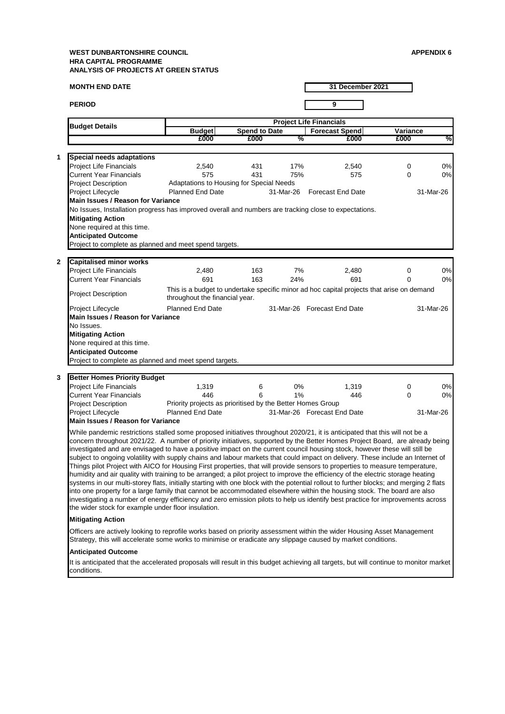conditions.

**MONTH END DATE PERIOD 9 Budget Forecast Spend Spend to Date Variance £000 £000 % £000 £000 % 1** Project Life Financials 2,540 431 17% 2,540 0 0% Current Year Financials 575 431 75% 575 0 0% Project Description Project Lifecycle **11 - Planned End Date Forecast End Date** 31-Mar-26 31-Mar-26 **2** Project Life Financials 2,480 163 7% 2,480 0 0% Current Year Financials 691 163 24% 691 0 0% Project Description Project Lifecycle **12. In the State 12-Mar-26** 31-Mar-26 Forecast End Date 31-Mar-26 **3** Project Life Financials 1,319 6 0% 1,319 0 0% Current Year Financials 446 6 1% 446 0 0% Project Description<br>Project Lifecycle Project Lifecycle Planned End Date 31-Mar-26 Forecast End Date 31-Mar-26 **Mitigating Action** Officers are actively looking to reprofile works based on priority assessment within the wider Housing Asset Management Strategy, this will accelerate some works to minimise or eradicate any slippage caused by market conditions. **Anticipated Outcome** It is anticipated that the accelerated proposals will result in this budget achieving all targets, but will continue to monitor market **31 December 2021 Budget Details**<br>**Budget All Budget All Spend to Date All Forecast S**<br>**E000** 2000 26000 26000 26000 26000 26000 26000 26000 26000 26000 26000 26000 26000 26000 26000 26000 26000 26000 26000 26000 26000 26000 26000 26000 26 None required at this time. **Anticipated Outcome** Project to complete as planned and meet spend targets. **Capitalised minor works** This is a budget to undertake specific minor ad hoc capital projects that arise on demand throughout the financial year. Adaptations to Housing for Special Needs **Main Issues / Reason for Variance**  No Issues, Installation progress has improved overall and numbers are tracking close to expectations. **Mitigating Action Better Homes Priority Budget**  Priority projects as prioritised by the Better Homes Group **Main Issues / Reason for Variance**  While pandemic restrictions stalled some proposed initiatives throughout 2020/21, it is anticipated that this will not be a concern throughout 2021/22. A number of priority initiatives, supported by the Better Homes Project Board, are already being investigated and are envisaged to have a positive impact on the current council housing stock, however these will still be subject to ongoing volatility with supply chains and labour markets that could impact on delivery. These include an Internet of Things pilot Project with AICO for Housing First properties, that will provide sensors to properties to measure temperature, humidity and air quality with training to be arranged; a pilot project to improve the efficiency of the electric storage heating systems in our multi-storey flats, initially starting with one block with the potential rollout to further blocks; and merging 2 flats into one property for a large family that cannot be accommodated elsewhere within the housing stock. The board are also investigating a number of energy efficiency and zero emission pilots to help us identify best practice for improvements across the wider stock for example under floor insulation. **Main Issues / Reason for Variance**  No Issues. **Mitigating Action** None required at this time. **Anticipated Outcome** Project to complete as planned and meet spend targets. **Special needs adaptations**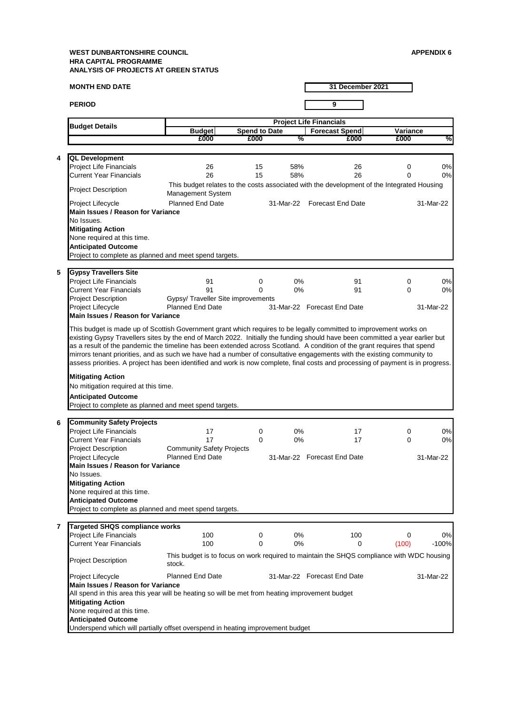**MONTH END DATE**

**4**

**5**

**6**

**7**

**PERIOD 9 Budget Forecast Spend Spend to Date Variance £000 £000 % £000 £000 % Budget Details**<br>**Budget All Budget All Spend to Date All Forecast S**<br>**E000** 2000 2000 2000 2000 Project Life Financials 26 15 58% 26 0 0% Current Year Financials 26 15 58% 26 0 0% Project Description Project Lifecycle **11-Mar-22 State 12-Arroget End Date** 31-Mar-22 51-Mar-22 **Forecast End Date** 31-Mar-22 Project Life Financials **91** 0 0% 91 0 0% 91 0 0% Current Year Financials 91 0 0% 91 0 0% Project Description Project Lifecycle **12. In the State 12-Mar-22** S1-Mar-22 Forecast End Date 131-Mar-22 Project Life Financials 17 17 0 0% 17 0 0% 0% Current Year Financials 17 0 0% 17 0 0% Project Description Project Lifecycle **12. In the State 12-Mar-22** S1-Mar-22 Forecast End Date 131-Mar-22 Project Life Financials 100 0 0% 100 0 0% Current Year Financials 100 0 0% 0 (100) -100% Project Description Project Lifecycle **11-Mar-22 31-Mar-22 31-Mar-22 Forecast End Date** 31-Mar-22 **Main Issues / Reason for Variance**  No Issues. **Mitigating Action** None required at this time. **QL Development** This budget relates to the costs associated with the development of the Integrated Housing Management System **Main Issues / Reason for Variance**  This budget is made up of Scottish Government grant which requires to be legally committed to improvement works on existing Gypsy Travellers sites by the end of March 2022. Initially the funding should have been committed a year earlier but as a result of the pandemic the timeline has been extended across Scotland. A condition of the grant requires that spend mirrors tenant priorities, and as such we have had a number of consultative engagements with the existing community to assess priorities. A project has been identified and work is now complete, final costs and processing of payment is in progress. **Mitigating Action** No mitigation required at this time. **Anticipated Outcome** Project to complete as planned and meet spend targets. **Anticipated Outcome** Project to complete as planned and meet spend targets. **Gypsy Travellers Site** Gypsy/ Traveller Site improvements<br>Planned End Date 31 **Targeted SHQS compliance works** This budget is to focus on work required to maintain the SHQS compliance with WDC housing stock. **Mitigating Action** None required at this time. **Anticipated Outcome** Project to complete as planned and meet spend targets. **Community Safety Projects** Community Safety Projects **Main Issues / Reason for Variance**  No Issues. **Main Issues / Reason for Variance**  All spend in this area this year will be heating so will be met from heating improvement budget

**Mitigating Action** None required at this time.

**Anticipated Outcome**

Underspend which will partially offset overspend in heating improvement budget

**31 December 2021**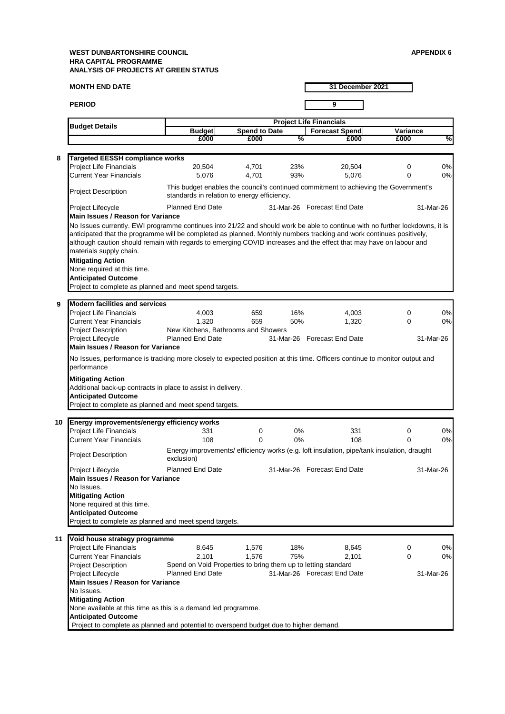**MONTH END DATE PERIOD 9 Budget Forecast Spend Spend to Date Variance £000 £000 % £000 £000 % 31 December 2021 Budget Details**<br>**Budget All Budget All Spend to Date All Forecast S**<br>**E000** 2000 26000 26000 26000 26000 26000 26000 26000 26000 26000 26000 26000 26000 26000 26000 26000 26000 26000 26000 26000 26000 26000 26000 26000 26 **8** Project Life Financials 20,504 4,701 23% 20,504 0 0% Current Year Financials 5,076 4,701 93% 5,076 0 0% Project Description Project Lifecycle 31-Mar-26 31-Mar-26 Forecast End Date **9** Project Life Financials 4,003 659 16% 4,003 0 0% Current Year Financials 1,320 659 50% 1,320 0 0% Project Description Project Lifecycle **12. In the State 12-Mar-26** 31-Mar-26 Forecast End Date 31-Mar-26 **10 Energy improvements/energy efficiency works** Project Life Financials **331** 0 0% 331 0 0% 331 0 0% Current Year Financials 108 0 0% 108 0 0% Project Description Project Lifecycle **11 - Planned End Date 131-Mar-26 Forecast End Date** 31-Mar-26 **11** Project Life Financials 8,645 1,576 18% 8,645 0 0% Current Year Financials 2,101 1,576 75% 2,101 0 0% Project Description Project Lifecycle **12.1 Planned End Date 31-Mar-26** Forecast End Date 31-Mar-26 **Main Issues / Reason for Variance**  No Issues currently. EWI programme continues into 21/22 and should work be able to continue with no further lockdowns, it is anticipated that the programme will be completed as planned. Monthly numbers tracking and work continues positively, although caution should remain with regards to emerging COVID increases and the effect that may have on labour and materials supply chain. Project to complete as planned and potential to overspend budget due to higher demand. **Anticipated Outcome** Project to complete as planned and meet spend targets. **Main Issues / Reason for Variance**  No Issues, performance is tracking more closely to expected position at this time. Officers continue to monitor output and performance **Mitigating Action** Additional back-up contracts in place to assist in delivery. **Mitigating Action** None required at this time. **Anticipated Outcome** Project to complete as planned and meet spend targets. **Modern facilities and services** New Kitchens, Bathrooms and Showers **Targeted EESSH compliance works** This budget enables the council's continued commitment to achieving the Government's standards in relation to energy efficiency. Planned End Date **Anticipated Outcome** Project to complete as planned and meet spend targets. Energy improvements/ efficiency works (e.g. loft insulation, pipe/tank insulation, draught exclusion) **Void house strategy programme** Spend on Void Properties to bring them up to letting standard **Main Issues / Reason for Variance**  No Issues. **Mitigating Action** None available at this time as this is a demand led programme. **Anticipated Outcome Main Issues / Reason for Variance**  No Issues. **Mitigating Action** None required at this time.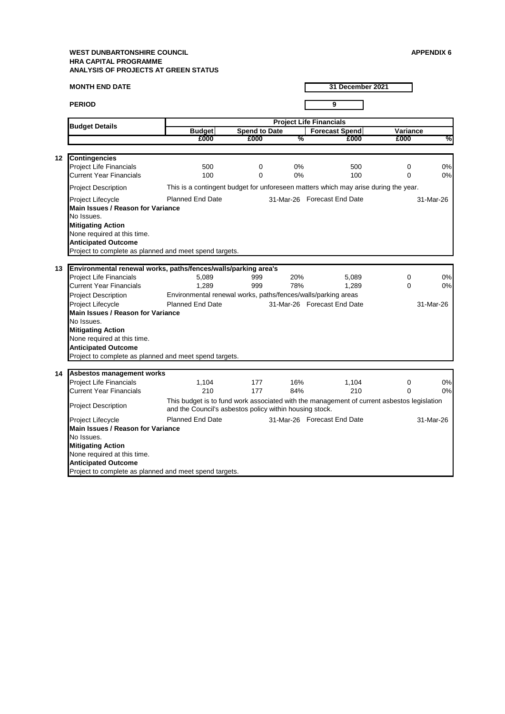**MONTH END DATE PERIOD 9 Budget Forecast Spend Spend to Date Variance £000 £000 % £000 £000 % 31 December 2021 Budget Details**<br>**Budget All Budget All Spend to Date All Forecast S**<br>**E000** 2000 26000 26000 26000 26000 26000 26000 26000 26000 26000 26000 26000 26000 26000 26000 26000 26000 26000 26000 26000 26000 26000 26000 26000 26 **12 Contingencies** Project Life Financials 500 0 0% 500 0 0% Current Year Financials 100 0 0% 100 0 0% Project Description Project Lifecycle Planned End Date 31-Mar-26 Forecast End Date 31-Mar-26 **13 Environmental renewal works, paths/fences/walls/parking area's** Project Life Financials 5,089 999 20% 5,089 0 0% Current Year Financials 1,289 999 78% 1,289 0 0% Project Description Project Lifecycle **12. In the State 12-Mar-26** 31-Mar-26 Forecast End Date 31-Mar-26 **14 Asbestos management works** Project Life Financials **1,104** 177 16% 1,104 0 0% Current Year Financials 210 177 84% 210 0 0% Project Description Project Lifecycle **12. In the State 12-Mar-26** 31-Mar-26 Forecast End Date 31-Mar-26 **Mitigating Action** None required at this time. This is a contingent budget for unforeseen matters which may arise during the year. None required at this time. **Anticipated Outcome Main Issues / Reason for Variance**  No Issues. Environmental renewal works, paths/fences/walls/parking areas **Mitigating Action Anticipated Outcome** Project to complete as planned and meet spend targets. **Anticipated Outcome** Project to complete as planned and meet spend targets. **Main Issues / Reason for Variance**  No Issues. **Mitigating Action** None required at this time. **Main Issues / Reason for Variance**  No Issues. This budget is to fund work associated with the management of current asbestos legislation and the Council's asbestos policy within housing stock.

Project to complete as planned and meet spend targets.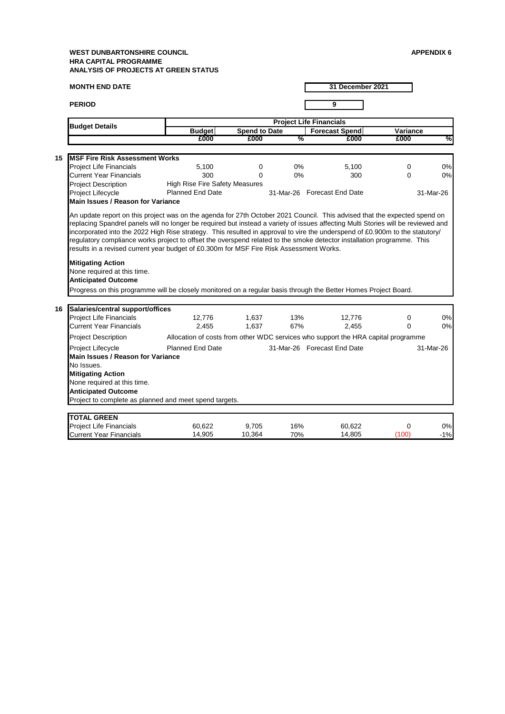**MONTH END DATE PERIOD 9 Budget Forecast Spend Spend to Date Variance £000 £000 % £000 £000 % 31 December 2021 Budget Details**<br>**Budget All and Budget Project Life Financials**<br>**E000 E000 2000 2000 2000 15** Project Life Financials  $5,100$  0% 5,100 0 0% 0 0% Current Year Financials 300 0 0% 300 0 0% Project Description Project Lifecycle Planned End Date 31-Mar-26 Forecast End Date 31-Mar-26 **16 Salaries/central support/offices** Project Life Financials 12,776 1,637 13% 12,776 0 0% Current Year Financials 2,455 1,637 67% 2,455 0 0% Project Description Project Lifecycle Planned End Date 31-Mar-26 Forecast End Date 31-Mar-26 **TOTAL GREEN** Project Life Financials 60,622 9,705 16% 60,622 0 0% Current Year Financials 14,905 10,364 70% 14,805 (100) -1% None required at this time. **Anticipated Outcome** Progress on this programme will be closely monitored on a regular basis through the Better Homes Project Board. **MSF Fire Risk Assessment Works** High Rise Fire Safety Measures Allocation of costs from other WDC services who support the HRA capital programme **Main Issues / Reason for Variance**  An update report on this project was on the agenda for 27th October 2021 Council. This advised that the expected spend on replacing Spandrel panels will no longer be required but instead a variety of issues affecting Multi Stories will be reviewed and incorporated into the 2022 High Rise strategy. This resulted in approval to vire the underspend of £0.900m to the statutory/ regulatory compliance works project to offset the overspend related to the smoke detector installation programme. This results in a revised current year budget of £0.300m for MSF Fire Risk Assessment Works. **Mitigating Action Anticipated Outcome** Project to complete as planned and meet spend targets. **Main Issues / Reason for Variance**  No Issues. **Mitigating Action** None required at this time.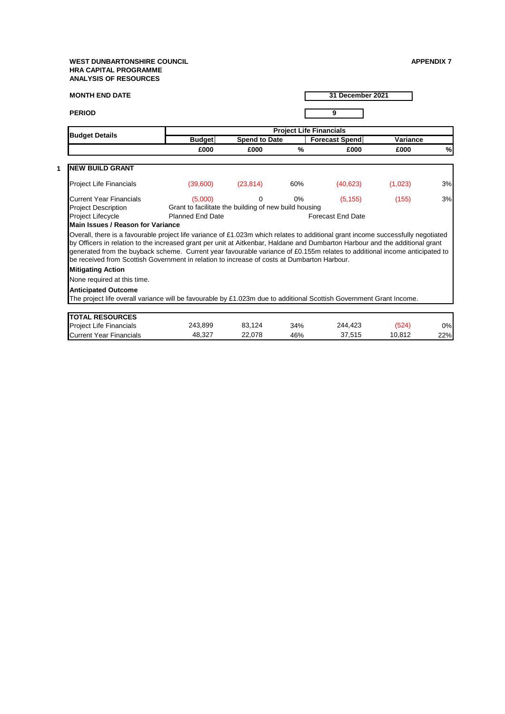## **WEST DUNBARTONSHIRE COUNCIL APPENDIX 7 HRA CAPITAL PROGRAMME ANALYSIS OF RESOURCES**

**1**

| <b>MONTH END DATE</b>                                                                                                                                                                                                                                                                                                                                                                                                                                                                         |                                                       |                                |       | 31 December 2021         |         |     |  |  |  |
|-----------------------------------------------------------------------------------------------------------------------------------------------------------------------------------------------------------------------------------------------------------------------------------------------------------------------------------------------------------------------------------------------------------------------------------------------------------------------------------------------|-------------------------------------------------------|--------------------------------|-------|--------------------------|---------|-----|--|--|--|
| <b>PERIOD</b>                                                                                                                                                                                                                                                                                                                                                                                                                                                                                 |                                                       |                                |       | 9                        |         |     |  |  |  |
|                                                                                                                                                                                                                                                                                                                                                                                                                                                                                               |                                                       | <b>Project Life Financials</b> |       |                          |         |     |  |  |  |
| <b>Budget Details</b>                                                                                                                                                                                                                                                                                                                                                                                                                                                                         | <b>Budget</b>                                         | <b>Spend to Date</b>           |       | <b>Forecast Spend</b>    |         |     |  |  |  |
|                                                                                                                                                                                                                                                                                                                                                                                                                                                                                               | £000                                                  | £000                           | %     | £000                     | £000    | %   |  |  |  |
| <b>NEW BUILD GRANT</b>                                                                                                                                                                                                                                                                                                                                                                                                                                                                        |                                                       |                                |       |                          |         |     |  |  |  |
| <b>Project Life Financials</b>                                                                                                                                                                                                                                                                                                                                                                                                                                                                | (39,600)                                              | (23, 814)                      | 60%   | (40, 623)                | (1,023) | 3%  |  |  |  |
| <b>Current Year Financials</b>                                                                                                                                                                                                                                                                                                                                                                                                                                                                | (5,000)                                               | 0                              | $0\%$ | (5, 155)                 | (155)   | 3%  |  |  |  |
| <b>Project Description</b>                                                                                                                                                                                                                                                                                                                                                                                                                                                                    | Grant to facilitate the building of new build housing |                                |       |                          |         |     |  |  |  |
| Project Lifecycle                                                                                                                                                                                                                                                                                                                                                                                                                                                                             | <b>Planned End Date</b>                               |                                |       | <b>Forecast End Date</b> |         |     |  |  |  |
| Main Issues / Reason for Variance                                                                                                                                                                                                                                                                                                                                                                                                                                                             |                                                       |                                |       |                          |         |     |  |  |  |
| Overall, there is a favourable project life variance of £1.023m which relates to additional grant income successfully negotiated<br>by Officers in relation to the increased grant per unit at Aitkenbar, Haldane and Dumbarton Harbour and the additional grant<br>generated from the buyback scheme. Current year favourable variance of £0.155m relates to additional income anticipated to<br>be received from Scottish Government in relation to increase of costs at Dumbarton Harbour. |                                                       |                                |       |                          |         |     |  |  |  |
| <b>Mitigating Action</b>                                                                                                                                                                                                                                                                                                                                                                                                                                                                      |                                                       |                                |       |                          |         |     |  |  |  |
| None required at this time.                                                                                                                                                                                                                                                                                                                                                                                                                                                                   |                                                       |                                |       |                          |         |     |  |  |  |
| <b>Anticipated Outcome</b><br>The project life overall variance will be favourable by £1.023m due to additional Scottish Government Grant Income.                                                                                                                                                                                                                                                                                                                                             |                                                       |                                |       |                          |         |     |  |  |  |
|                                                                                                                                                                                                                                                                                                                                                                                                                                                                                               |                                                       |                                |       |                          |         |     |  |  |  |
| <b>TOTAL RESOURCES</b>                                                                                                                                                                                                                                                                                                                                                                                                                                                                        |                                                       |                                |       |                          |         |     |  |  |  |
| <b>Project Life Financials</b>                                                                                                                                                                                                                                                                                                                                                                                                                                                                | 243,899                                               | 83,124                         | 34%   | 244,423                  | (524)   | 0%  |  |  |  |
| <b>Current Year Financials</b>                                                                                                                                                                                                                                                                                                                                                                                                                                                                | 48,327                                                | 22,078                         | 46%   | 37,515                   | 10,812  | 22% |  |  |  |

Current Year Financials 21,020 22,078 46% 37,515